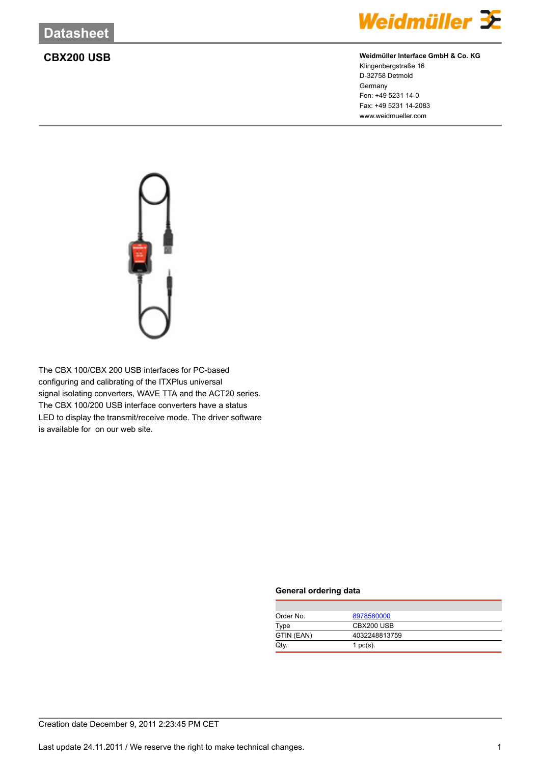

# **CBX200 USB Weidmüller Interface GmbH & Co. KG**

Klingenbergstraße 16 D-32758 Detmold Germany Fon: +49 5231 14-0 Fax: +49 5231 14-2083 www.weidmueller.com



The CBX 100/CBX 200 USB interfaces for PC-based configuring and calibrating of the ITXPlus universal signal isolating converters, WAVE TTA and the ACT20 series. The CBX 100/200 USB interface converters have a status LED to display the transmit/receive mode. The driver software is available for on our web site.

### **General ordering data**

| Order No.  | 8978580000    |
|------------|---------------|
| Type       | CBX200 USB    |
| GTIN (EAN) | 4032248813759 |
| Qtv.       | 1 $pc(s)$ .   |